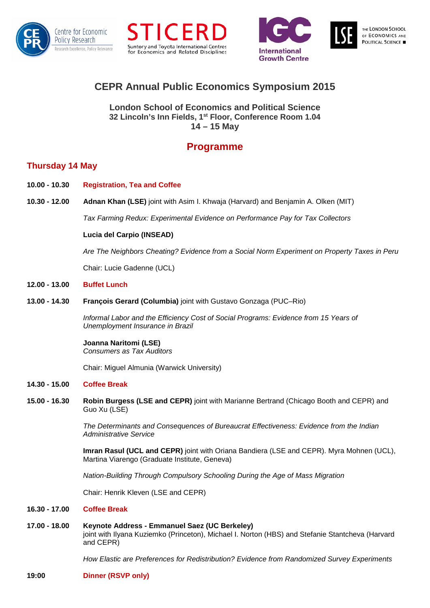





# **CEPR Annual Public Economics Symposium 2015**

**London School of Economics and Political Science 32 Lincoln's Inn Fields, 1st Floor, Conference Room 1.04 14 – 15 May** 

# **Programme**

# **Thursday 14 May**

- **10.00 - 10.30 Registration, Tea and Coffee**
- **10.30 - 12.00 Adnan Khan (LSE)** joint with Asim I. Khwaja (Harvard) and Benjamin A. Olken (MIT)

*Tax Farming Redux: Experimental Evidence on Performance Pay for Tax Collectors*

# **Lucia del Carpio (INSEAD)**

*Are The Neighbors Cheating? Evidence from a Social Norm Experiment on Property Taxes in Peru*

Chair: Lucie Gadenne (UCL)

# **12.00 - 13.00 Buffet Lunch**

**13.00 - 14.30 François Gerard (Columbia)** joint with Gustavo Gonzaga (PUC–Rio)

*Informal Labor and the Efficiency Cost of Social Programs: Evidence from 15 Years of Unemployment Insurance in Brazil*

**Joanna Naritomi (LSE)** *Consumers as Tax Auditors*

Chair: Miguel Almunia (Warwick University)

### **14.30 - 15.00 Coffee Break**

**15.00 - 16.30 Robin Burgess (LSE and CEPR)** joint with Marianne Bertrand (Chicago Booth and CEPR) and Guo Xu (LSE)

> *The Determinants and Consequences of Bureaucrat Effectiveness: Evidence from the Indian Administrative Service*

**Imran Rasul (UCL and CEPR)** joint with Oriana Bandiera (LSE and CEPR). Myra Mohnen (UCL), Martina Viarengo (Graduate Institute, Geneva)

*Nation-Building Through Compulsory Schooling During the Age of Mass Migration*

Chair: Henrik Kleven (LSE and CEPR)

## **16.30 - 17.00 Coffee Break**

**17.00 - 18.00 Keynote Address - Emmanuel Saez (UC Berkeley)** ioint with Ilvana Kuziemko (Princeton), Michael I. Norton (HBS) and Stefanie Stantcheva (Harvard and CEPR)

*How Elastic are Preferences for Redistribution? Evidence from Randomized Survey Experiments*

**19:00 Dinner (RSVP only)**